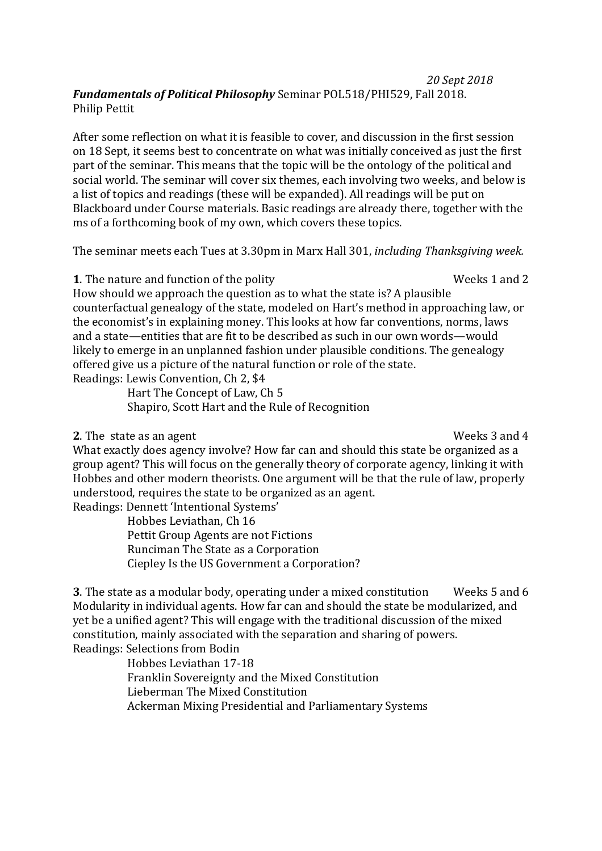## *20 Sept 2018 Fundamentals of Political Philosophy* Seminar POL518/PHI529, Fall 2018. Philip Pettit

After some reflection on what it is feasible to cover, and discussion in the first session on 18 Sept, it seems best to concentrate on what was initially conceived as just the first part of the seminar. This means that the topic will be the ontology of the political and social world. The seminar will cover six themes, each involving two weeks, and below is a list of topics and readings (these will be expanded). All readings will be put on Blackboard under Course materials. Basic readings are already there, together with the ms of a forthcoming book of my own, which covers these topics.

The seminar meets each Tues at 3.30pm in Marx Hall 301, *including Thanksgiving week.*

**1**. The nature and function of the polity **Weeks** 1 and 2

How should we approach the question as to what the state is? A plausible counterfactual genealogy of the state, modeled on Hart's method in approaching law, or the economist's in explaining money. This looks at how far conventions, norms, laws and a state—entities that are fit to be described as such in our own words—would likely to emerge in an unplanned fashion under plausible conditions. The genealogy offered give us a picture of the natural function or role of the state. Readings: Lewis Convention, Ch 2, \$4

> Hart The Concept of Law, Ch 5 Shapiro, Scott Hart and the Rule of Recognition

## **2**. The state as an agent **Weeks** 3 and 4

What exactly does agency involve? How far can and should this state be organized as a group agent? This will focus on the generally theory of corporate agency, linking it with Hobbes and other modern theorists. One argument will be that the rule of law, properly understood, requires the state to be organized as an agent. Readings: Dennett 'Intentional Systems'

Hobbes Leviathan, Ch 16 Pettit Group Agents are not Fictions Runciman The State as a Corporation Ciepley Is the US Government a Corporation?

**3**. The state as a modular body, operating under a mixed constitution Weeks 5 and 6 Modularity in individual agents. How far can and should the state be modularized, and yet be a unified agent? This will engage with the traditional discussion of the mixed constitution, mainly associated with the separation and sharing of powers. Readings: Selections from Bodin

> Hobbes Leviathan 17-18 Franklin Sovereignty and the Mixed Constitution Lieberman The Mixed Constitution Ackerman Mixing Presidential and Parliamentary Systems